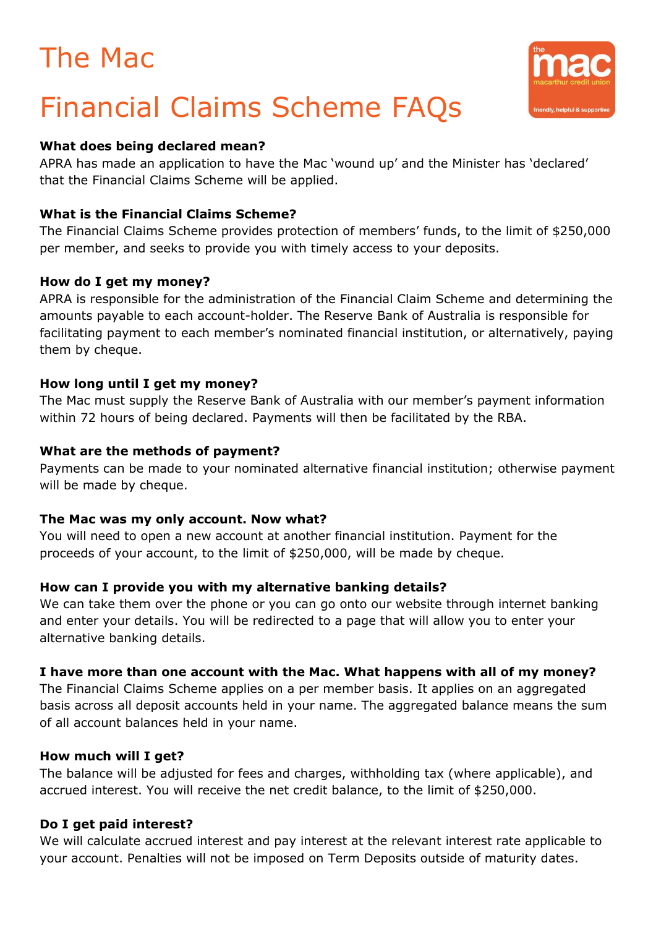## The Mac

# Financial Claims Scheme FAQs

#### **What does being declared mean?**

APRA has made an application to have the Mac 'wound up' and the Minister has 'declared' that the Financial Claims Scheme will be applied.

### **What is the Financial Claims Scheme?**

The Financial Claims Scheme provides protection of members' funds, to the limit of \$250,000 per member, and seeks to provide you with timely access to your deposits.

#### **How do I get my money?**

APRA is responsible for the administration of the Financial Claim Scheme and determining the amounts payable to each account-holder. The Reserve Bank of Australia is responsible for facilitating payment to each member's nominated financial institution, or alternatively, paying them by cheque.

#### **How long until I get my money?**

The Mac must supply the Reserve Bank of Australia with our member's payment information within 72 hours of being declared. Payments will then be facilitated by the RBA.

#### **What are the methods of payment?**

Payments can be made to your nominated alternative financial institution; otherwise payment will be made by cheque.

#### **The Mac was my only account. Now what?**

You will need to open a new account at another financial institution. Payment for the proceeds of your account, to the limit of \$250,000, will be made by cheque.

## **How can I provide you with my alternative banking details?**

We can take them over the phone or you can go onto our website through internet banking and enter your details. You will be redirected to a page that will allow you to enter your alternative banking details.

## **I have more than one account with the Mac. What happens with all of my money?**

The Financial Claims Scheme applies on a per member basis. It applies on an aggregated basis across all deposit accounts held in your name. The aggregated balance means the sum of all account balances held in your name.

#### **How much will I get?**

The balance will be adjusted for fees and charges, withholding tax (where applicable), and accrued interest. You will receive the net credit balance, to the limit of \$250,000.

## **Do I get paid interest?**

We will calculate accrued interest and pay interest at the relevant interest rate applicable to your account. Penalties will not be imposed on Term Deposits outside of maturity dates.